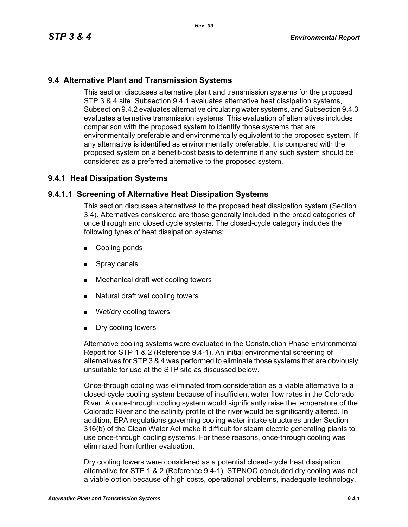# **9.4 Alternative Plant and Transmission Systems**

This section discusses alternative plant and transmission systems for the proposed STP 3 & 4 site. Subsection 9.4.1 evaluates alternative heat dissipation systems, Subsection 9.4.2 evaluates alternative circulating water systems, and Subsection 9.4.3 evaluates alternative transmission systems. This evaluation of alternatives includes comparison with the proposed system to identify those systems that are environmentally preferable and environmentally equivalent to the proposed system. If any alternative is identified as environmentally preferable, it is compared with the proposed system on a benefit-cost basis to determine if any such system should be considered as a preferred alternative to the proposed system.

# **9.4.1 Heat Dissipation Systems**

## **9.4.1.1 Screening of Alternative Heat Dissipation Systems**

This section discusses alternatives to the proposed heat dissipation system (Section 3.4). Alternatives considered are those generally included in the broad categories of once through and closed cycle systems. The closed-cycle category includes the following types of heat dissipation systems:

- **Cooling ponds**
- **Spray canals**
- Mechanical draft wet cooling towers
- Natural draft wet cooling towers
- Wet/dry cooling towers
- **Dry cooling towers**

Alternative cooling systems were evaluated in the Construction Phase Environmental Report for STP 1 & 2 (Reference 9.4-1). An initial environmental screening of alternatives for STP 3 & 4 was performed to eliminate those systems that are obviously unsuitable for use at the STP site as discussed below.

Once-through cooling was eliminated from consideration as a viable alternative to a closed-cycle cooling system because of insufficient water flow rates in the Colorado River. A once-through cooling system would significantly raise the temperature of the Colorado River and the salinity profile of the river would be significantly altered. In addition, EPA regulations governing cooling water intake structures under Section 316(b) of the Clean Water Act make it difficult for steam electric generating plants to use once-through cooling systems. For these reasons, once-through cooling was eliminated from further evaluation.

Dry cooling towers were considered as a potential closed-cycle heat dissipation alternative for STP 1 & 2 (Reference 9.4-1). STPNOC concluded dry cooling was not a viable option because of high costs, operational problems, inadequate technology,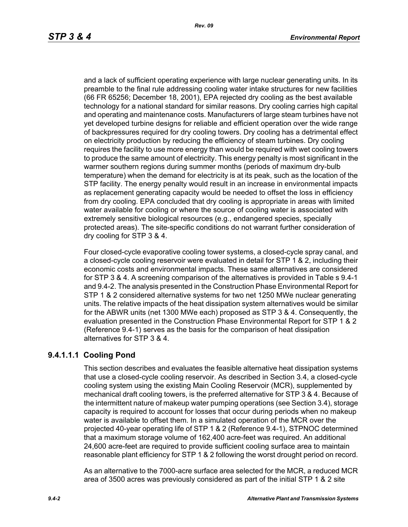and a lack of sufficient operating experience with large nuclear generating units. In its preamble to the final rule addressing cooling water intake structures for new facilities (66 FR 65256; December 18, 2001), EPA rejected dry cooling as the best available technology for a national standard for similar reasons. Dry cooling carries high capital and operating and maintenance costs. Manufacturers of large steam turbines have not yet developed turbine designs for reliable and efficient operation over the wide range of backpressures required for dry cooling towers. Dry cooling has a detrimental effect on electricity production by reducing the efficiency of steam turbines. Dry cooling requires the facility to use more energy than would be required with wet cooling towers to produce the same amount of electricity. This energy penalty is most significant in the warmer southern regions during summer months (periods of maximum dry-bulb temperature) when the demand for electricity is at its peak, such as the location of the STP facility. The energy penalty would result in an increase in environmental impacts as replacement generating capacity would be needed to offset the loss in efficiency from dry cooling. EPA concluded that dry cooling is appropriate in areas with limited water available for cooling or where the source of cooling water is associated with extremely sensitive biological resources (e.g., endangered species, specially protected areas). The site-specific conditions do not warrant further consideration of dry cooling for STP 3 & 4.

Four closed-cycle evaporative cooling tower systems, a closed-cycle spray canal, and a closed-cycle cooling reservoir were evaluated in detail for STP 1 & 2, including their economic costs and environmental impacts. These same alternatives are considered for STP 3 & 4. A screening comparison of the alternatives is provided in Table s 9.4-1 and 9.4-2. The analysis presented in the Construction Phase Environmental Report for STP 1 & 2 considered alternative systems for two net 1250 MWe nuclear generating units. The relative impacts of the heat dissipation system alternatives would be similar for the ABWR units (net 1300 MWe each) proposed as STP 3 & 4. Consequently, the evaluation presented in the Construction Phase Environmental Report for STP 1 & 2 (Reference 9.4-1) serves as the basis for the comparison of heat dissipation alternatives for STP 3 & 4.

# **9.4.1.1.1 Cooling Pond**

This section describes and evaluates the feasible alternative heat dissipation systems that use a closed-cycle cooling reservoir. As described in Section 3.4, a closed-cycle cooling system using the existing Main Cooling Reservoir (MCR), supplemented by mechanical draft cooling towers, is the preferred alternative for STP 3 & 4. Because of the intermittent nature of makeup water pumping operations (see Section 3.4), storage capacity is required to account for losses that occur during periods when no makeup water is available to offset them. In a simulated operation of the MCR over the projected 40-year operating life of STP 1 & 2 (Reference 9.4-1), STPNOC determined that a maximum storage volume of 162,400 acre-feet was required. An additional 24,600 acre-feet are required to provide sufficient cooling surface area to maintain reasonable plant efficiency for STP 1 & 2 following the worst drought period on record.

As an alternative to the 7000-acre surface area selected for the MCR, a reduced MCR area of 3500 acres was previously considered as part of the initial STP 1 & 2 site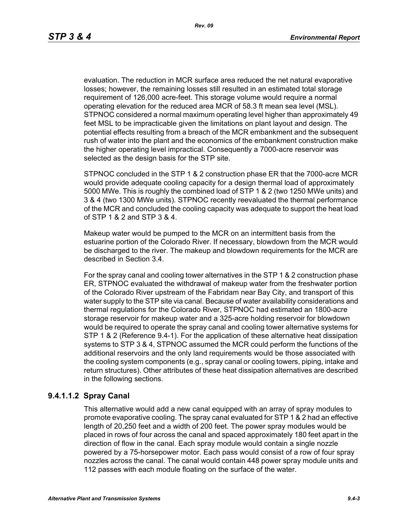evaluation. The reduction in MCR surface area reduced the net natural evaporative losses; however, the remaining losses still resulted in an estimated total storage requirement of 126,000 acre-feet. This storage volume would require a normal operating elevation for the reduced area MCR of 58.3 ft mean sea level (MSL). STPNOC considered a normal maximum operating level higher than approximately 49 feet MSL to be impracticable given the limitations on plant layout and design. The potential effects resulting from a breach of the MCR embankment and the subsequent rush of water into the plant and the economics of the embankment construction make the higher operating level impractical. Consequently a 7000-acre reservoir was selected as the design basis for the STP site.

STPNOC concluded in the STP 1 & 2 construction phase ER that the 7000-acre MCR would provide adequate cooling capacity for a design thermal load of approximately 5000 MWe. This is roughly the combined load of STP 1 & 2 (two 1250 MWe units) and 3 & 4 (two 1300 MWe units). STPNOC recently reevaluated the thermal performance of the MCR and concluded the cooling capacity was adequate to support the heat load of STP 1 & 2 and STP 3 & 4.

Makeup water would be pumped to the MCR on an intermittent basis from the estuarine portion of the Colorado River. If necessary, blowdown from the MCR would be discharged to the river. The makeup and blowdown requirements for the MCR are described in Section 3.4.

For the spray canal and cooling tower alternatives in the STP 1 & 2 construction phase ER, STPNOC evaluated the withdrawal of makeup water from the freshwater portion of the Colorado River upstream of the Fabridam near Bay City, and transport of this water supply to the STP site via canal. Because of water availability considerations and thermal regulations for the Colorado River, STPNOC had estimated an 1800-acre storage reservoir for makeup water and a 325-acre holding reservoir for blowdown would be required to operate the spray canal and cooling tower alternative systems for STP 1 & 2 (Reference 9.4-1). For the application of these alternative heat dissipation systems to STP 3 & 4, STPNOC assumed the MCR could perform the functions of the additional reservoirs and the only land requirements would be those associated with the cooling system components (e.g., spray canal or cooling towers, piping, intake and return structures). Other attributes of these heat dissipation alternatives are described in the following sections.

# **9.4.1.1.2 Spray Canal**

This alternative would add a new canal equipped with an array of spray modules to promote evaporative cooling. The spray canal evaluated for STP 1 & 2 had an effective length of 20,250 feet and a width of 200 feet. The power spray modules would be placed in rows of four across the canal and spaced approximately 180 feet apart in the direction of flow in the canal. Each spray module would contain a single nozzle powered by a 75-horsepower motor. Each pass would consist of a row of four spray nozzles across the canal. The canal would contain 448 power spray module units and 112 passes with each module floating on the surface of the water.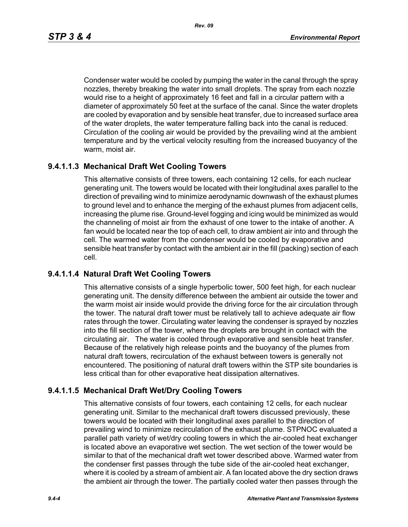*Rev. 09*

Condenser water would be cooled by pumping the water in the canal through the spray nozzles, thereby breaking the water into small droplets. The spray from each nozzle would rise to a height of approximately 16 feet and fall in a circular pattern with a diameter of approximately 50 feet at the surface of the canal. Since the water droplets are cooled by evaporation and by sensible heat transfer, due to increased surface area of the water droplets, the water temperature falling back into the canal is reduced. Circulation of the cooling air would be provided by the prevailing wind at the ambient temperature and by the vertical velocity resulting from the increased buoyancy of the warm, moist air.

# **9.4.1.1.3 Mechanical Draft Wet Cooling Towers**

This alternative consists of three towers, each containing 12 cells, for each nuclear generating unit. The towers would be located with their longitudinal axes parallel to the direction of prevailing wind to minimize aerodynamic downwash of the exhaust plumes to ground level and to enhance the merging of the exhaust plumes from adjacent cells, increasing the plume rise. Ground-level fogging and icing would be minimized as would the channeling of moist air from the exhaust of one tower to the intake of another. A fan would be located near the top of each cell, to draw ambient air into and through the cell. The warmed water from the condenser would be cooled by evaporative and sensible heat transfer by contact with the ambient air in the fill (packing) section of each cell.

# **9.4.1.1.4 Natural Draft Wet Cooling Towers**

This alternative consists of a single hyperbolic tower, 500 feet high, for each nuclear generating unit. The density difference between the ambient air outside the tower and the warm moist air inside would provide the driving force for the air circulation through the tower. The natural draft tower must be relatively tall to achieve adequate air flow rates through the tower. Circulating water leaving the condenser is sprayed by nozzles into the fill section of the tower, where the droplets are brought in contact with the circulating air. The water is cooled through evaporative and sensible heat transfer. Because of the relatively high release points and the buoyancy of the plumes from natural draft towers, recirculation of the exhaust between towers is generally not encountered. The positioning of natural draft towers within the STP site boundaries is less critical than for other evaporative heat dissipation alternatives.

# **9.4.1.1.5 Mechanical Draft Wet/Dry Cooling Towers**

This alternative consists of four towers, each containing 12 cells, for each nuclear generating unit. Similar to the mechanical draft towers discussed previously, these towers would be located with their longitudinal axes parallel to the direction of prevailing wind to minimize recirculation of the exhaust plume. STPNOC evaluated a parallel path variety of wet/dry cooling towers in which the air-cooled heat exchanger is located above an evaporative wet section. The wet section of the tower would be similar to that of the mechanical draft wet tower described above. Warmed water from the condenser first passes through the tube side of the air-cooled heat exchanger, where it is cooled by a stream of ambient air. A fan located above the dry section draws the ambient air through the tower. The partially cooled water then passes through the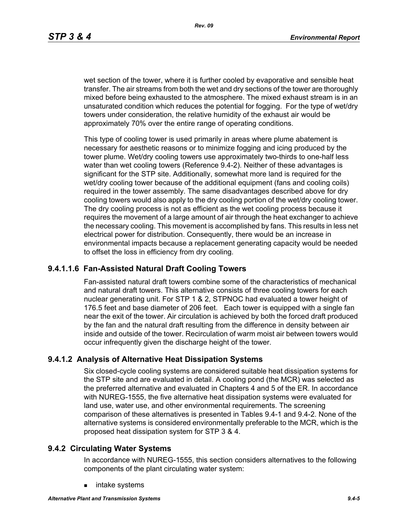wet section of the tower, where it is further cooled by evaporative and sensible heat transfer. The air streams from both the wet and dry sections of the tower are thoroughly mixed before being exhausted to the atmosphere. The mixed exhaust stream is in an unsaturated condition which reduces the potential for fogging. For the type of wet/dry towers under consideration, the relative humidity of the exhaust air would be approximately 70% over the entire range of operating conditions.

This type of cooling tower is used primarily in areas where plume abatement is necessary for aesthetic reasons or to minimize fogging and icing produced by the tower plume. Wet/dry cooling towers use approximately two-thirds to one-half less water than wet cooling towers (Reference 9.4-2). Neither of these advantages is significant for the STP site. Additionally, somewhat more land is required for the wet/dry cooling tower because of the additional equipment (fans and cooling coils) required in the tower assembly. The same disadvantages described above for dry cooling towers would also apply to the dry cooling portion of the wet/dry cooling tower. The dry cooling process is not as efficient as the wet cooling process because it requires the movement of a large amount of air through the heat exchanger to achieve the necessary cooling. This movement is accomplished by fans. This results in less net electrical power for distribution. Consequently, there would be an increase in environmental impacts because a replacement generating capacity would be needed to offset the loss in efficiency from dry cooling.

### **9.4.1.1.6 Fan-Assisted Natural Draft Cooling Towers**

Fan-assisted natural draft towers combine some of the characteristics of mechanical and natural draft towers. This alternative consists of three cooling towers for each nuclear generating unit. For STP 1 & 2, STPNOC had evaluated a tower height of 176.5 feet and base diameter of 206 feet. Each tower is equipped with a single fan near the exit of the tower. Air circulation is achieved by both the forced draft produced by the fan and the natural draft resulting from the difference in density between air inside and outside of the tower. Recirculation of warm moist air between towers would occur infrequently given the discharge height of the tower.

### **9.4.1.2 Analysis of Alternative Heat Dissipation Systems**

Six closed-cycle cooling systems are considered suitable heat dissipation systems for the STP site and are evaluated in detail. A cooling pond (the MCR) was selected as the preferred alternative and evaluated in Chapters 4 and 5 of the ER. In accordance with NUREG-1555, the five alternative heat dissipation systems were evaluated for land use, water use, and other environmental requirements. The screening comparison of these alternatives is presented in Tables 9.4-1 and 9.4-2. None of the alternative systems is considered environmentally preferable to the MCR, which is the proposed heat dissipation system for STP 3 & 4.

#### **9.4.2 Circulating Water Systems**

In accordance with NUREG-1555, this section considers alternatives to the following components of the plant circulating water system:

intake systems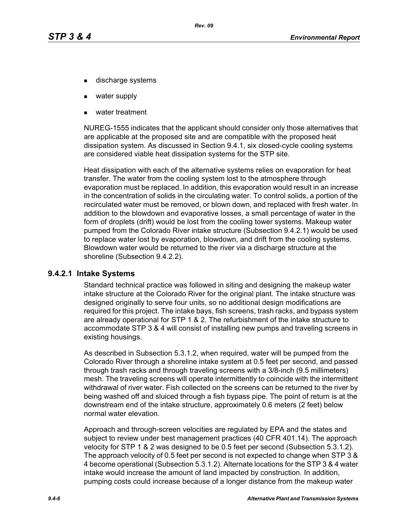- discharge systems
- water supply
- water treatment

NUREG-1555 indicates that the applicant should consider only those alternatives that are applicable at the proposed site and are compatible with the proposed heat dissipation system. As discussed in Section 9.4.1, six closed-cycle cooling systems are considered viable heat dissipation systems for the STP site.

Heat dissipation with each of the alternative systems relies on evaporation for heat transfer. The water from the cooling system lost to the atmosphere through evaporation must be replaced. In addition, this evaporation would result in an increase in the concentration of solids in the circulating water. To control solids, a portion of the recirculated water must be removed, or blown down, and replaced with fresh water. In addition to the blowdown and evaporative losses, a small percentage of water in the form of droplets (drift) would be lost from the cooling tower systems. Makeup water pumped from the Colorado River intake structure (Subsection 9.4.2.1) would be used to replace water lost by evaporation, blowdown, and drift from the cooling systems. Blowdown water would be returned to the river via a discharge structure at the shoreline (Subsection 9.4.2.2).

#### **9.4.2.1 Intake Systems**

Standard technical practice was followed in siting and designing the makeup water intake structure at the Colorado River for the original plant. The intake structure was designed originally to serve four units, so no additional design modifications are required for this project. The intake bays, fish screens, trash racks, and bypass system are already operational for STP 1 & 2. The refurbishment of the intake structure to accommodate STP 3 & 4 will consist of installing new pumps and traveling screens in existing housings.

As described in Subsection 5.3.1.2, when required, water will be pumped from the Colorado River through a shoreline intake system at 0.5 feet per second, and passed through trash racks and through traveling screens with a 3/8-inch (9.5 millimeters) mesh. The traveling screens will operate intermittently to coincide with the intermittent withdrawal of river water. Fish collected on the screens can be returned to the river by being washed off and sluiced through a fish bypass pipe. The point of return is at the downstream end of the intake structure, approximately 0.6 meters (2 feet) below normal water elevation.

Approach and through-screen velocities are regulated by EPA and the states and subject to review under best management practices (40 CFR 401.14). The approach velocity for STP 1 & 2 was designed to be 0.5 feet per second (Subsection 5.3.1.2). The approach velocity of 0.5 feet per second is not expected to change when STP 3 & 4 become operational (Subsection 5.3.1.2). Alternate locations for the STP 3 & 4 water intake would increase the amount of land impacted by construction. In addition, pumping costs could increase because of a longer distance from the makeup water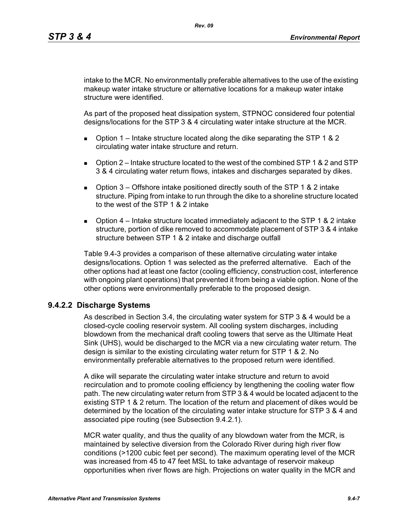intake to the MCR. No environmentally preferable alternatives to the use of the existing makeup water intake structure or alternative locations for a makeup water intake structure were identified.

As part of the proposed heat dissipation system, STPNOC considered four potential designs/locations for the STP 3 & 4 circulating water intake structure at the MCR.

- **D** Option 1 Intake structure located along the dike separating the STP 1 & 2 circulating water intake structure and return.
- $\Box$  Option 2 Intake structure located to the west of the combined STP 1 & 2 and STP 3 & 4 circulating water return flows, intakes and discharges separated by dikes.
- **D** Option  $3$  Offshore intake positioned directly south of the STP 1 & 2 intake structure. Piping from intake to run through the dike to a shoreline structure located to the west of the STP 1 & 2 intake
- **D** Option  $4$  Intake structure located immediately adjacent to the STP 1 & 2 intake structure, portion of dike removed to accommodate placement of STP 3 & 4 intake structure between STP 1 & 2 intake and discharge outfall

Table 9.4-3 provides a comparison of these alternative circulating water intake designs/locations. Option 1 was selected as the preferred alternative. Each of the other options had at least one factor (cooling efficiency, construction cost, interference with ongoing plant operations) that prevented it from being a viable option. None of the other options were environmentally preferable to the proposed design.

# **9.4.2.2 Discharge Systems**

As described in Section 3.4, the circulating water system for STP 3 & 4 would be a closed-cycle cooling reservoir system. All cooling system discharges, including blowdown from the mechanical draft cooling towers that serve as the Ultimate Heat Sink (UHS), would be discharged to the MCR via a new circulating water return. The design is similar to the existing circulating water return for STP 1 & 2. No environmentally preferable alternatives to the proposed return were identified.

A dike will separate the circulating water intake structure and return to avoid recirculation and to promote cooling efficiency by lengthening the cooling water flow path. The new circulating water return from STP 3 & 4 would be located adjacent to the existing STP 1 & 2 return. The location of the return and placement of dikes would be determined by the location of the circulating water intake structure for STP 3 & 4 and associated pipe routing (see Subsection 9.4.2.1).

MCR water quality, and thus the quality of any blowdown water from the MCR, is maintained by selective diversion from the Colorado River during high river flow conditions (>1200 cubic feet per second). The maximum operating level of the MCR was increased from 45 to 47 feet MSL to take advantage of reservoir makeup opportunities when river flows are high. Projections on water quality in the MCR and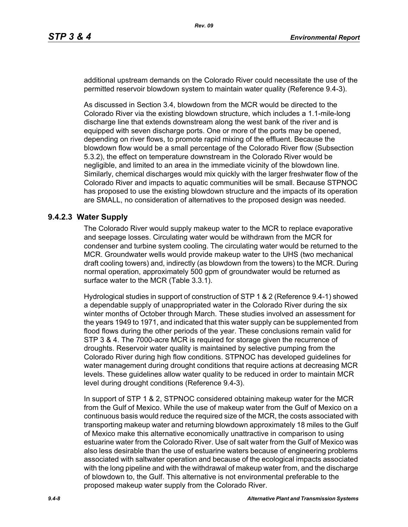additional upstream demands on the Colorado River could necessitate the use of the permitted reservoir blowdown system to maintain water quality (Reference 9.4-3).

As discussed in Section 3.4, blowdown from the MCR would be directed to the Colorado River via the existing blowdown structure, which includes a 1.1-mile-long discharge line that extends downstream along the west bank of the river and is equipped with seven discharge ports. One or more of the ports may be opened, depending on river flows, to promote rapid mixing of the effluent. Because the blowdown flow would be a small percentage of the Colorado River flow (Subsection 5.3.2), the effect on temperature downstream in the Colorado River would be negligible, and limited to an area in the immediate vicinity of the blowdown line. Similarly, chemical discharges would mix quickly with the larger freshwater flow of the Colorado River and impacts to aquatic communities will be small. Because STPNOC has proposed to use the existing blowdown structure and the impacts of its operation are SMALL, no consideration of alternatives to the proposed design was needed.

## **9.4.2.3 Water Supply**

The Colorado River would supply makeup water to the MCR to replace evaporative and seepage losses. Circulating water would be withdrawn from the MCR for condenser and turbine system cooling. The circulating water would be returned to the MCR. Groundwater wells would provide makeup water to the UHS (two mechanical draft cooling towers) and, indirectly (as blowdown from the towers) to the MCR. During normal operation, approximately 500 gpm of groundwater would be returned as surface water to the MCR (Table 3.3.1).

Hydrological studies in support of construction of STP 1 & 2 (Reference 9.4-1) showed a dependable supply of unappropriated water in the Colorado River during the six winter months of October through March. These studies involved an assessment for the years 1949 to 1971, and indicated that this water supply can be supplemented from flood flows during the other periods of the year. These conclusions remain valid for STP 3 & 4. The 7000-acre MCR is required for storage given the recurrence of droughts. Reservoir water quality is maintained by selective pumping from the Colorado River during high flow conditions. STPNOC has developed guidelines for water management during drought conditions that require actions at decreasing MCR levels. These guidelines allow water quality to be reduced in order to maintain MCR level during drought conditions (Reference 9.4-3).

In support of STP 1 & 2, STPNOC considered obtaining makeup water for the MCR from the Gulf of Mexico. While the use of makeup water from the Gulf of Mexico on a continuous basis would reduce the required size of the MCR, the costs associated with transporting makeup water and returning blowdown approximately 18 miles to the Gulf of Mexico make this alternative economically unattractive in comparison to using estuarine water from the Colorado River. Use of salt water from the Gulf of Mexico was also less desirable than the use of estuarine waters because of engineering problems associated with saltwater operation and because of the ecological impacts associated with the long pipeline and with the withdrawal of makeup water from, and the discharge of blowdown to, the Gulf. This alternative is not environmental preferable to the proposed makeup water supply from the Colorado River.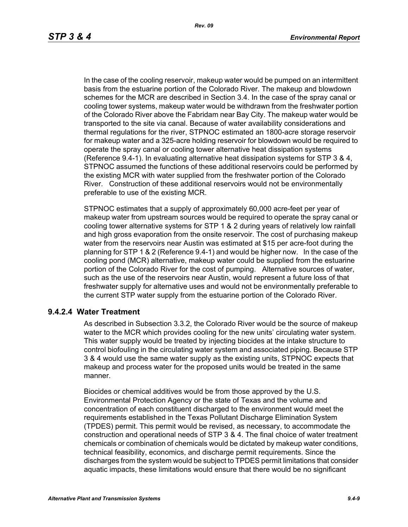In the case of the cooling reservoir, makeup water would be pumped on an intermittent basis from the estuarine portion of the Colorado River. The makeup and blowdown schemes for the MCR are described in Section 3.4. In the case of the spray canal or cooling tower systems, makeup water would be withdrawn from the freshwater portion of the Colorado River above the Fabridam near Bay City. The makeup water would be transported to the site via canal. Because of water availability considerations and thermal regulations for the river, STPNOC estimated an 1800-acre storage reservoir for makeup water and a 325-acre holding reservoir for blowdown would be required to operate the spray canal or cooling tower alternative heat dissipation systems (Reference 9.4-1). In evaluating alternative heat dissipation systems for STP 3 & 4, STPNOC assumed the functions of these additional reservoirs could be performed by the existing MCR with water supplied from the freshwater portion of the Colorado River. Construction of these additional reservoirs would not be environmentally preferable to use of the existing MCR.

STPNOC estimates that a supply of approximately 60,000 acre-feet per year of makeup water from upstream sources would be required to operate the spray canal or cooling tower alternative systems for STP 1 & 2 during years of relatively low rainfall and high gross evaporation from the onsite reservoir. The cost of purchasing makeup water from the reservoirs near Austin was estimated at \$15 per acre-foot during the planning for STP 1 & 2 (Reference 9.4-1) and would be higher now. In the case of the cooling pond (MCR) alternative, makeup water could be supplied from the estuarine portion of the Colorado River for the cost of pumping. Alternative sources of water, such as the use of the reservoirs near Austin, would represent a future loss of that freshwater supply for alternative uses and would not be environmentally preferable to the current STP water supply from the estuarine portion of the Colorado River.

### **9.4.2.4 Water Treatment**

As described in Subsection 3.3.2, the Colorado River would be the source of makeup water to the MCR which provides cooling for the new units' circulating water system. This water supply would be treated by injecting biocides at the intake structure to control biofouling in the circulating water system and associated piping. Because STP 3 & 4 would use the same water supply as the existing units, STPNOC expects that makeup and process water for the proposed units would be treated in the same manner.

Biocides or chemical additives would be from those approved by the U.S. Environmental Protection Agency or the state of Texas and the volume and concentration of each constituent discharged to the environment would meet the requirements established in the Texas Pollutant Discharge Elimination System (TPDES) permit. This permit would be revised, as necessary, to accommodate the construction and operational needs of STP 3 & 4. The final choice of water treatment chemicals or combination of chemicals would be dictated by makeup water conditions, technical feasibility, economics, and discharge permit requirements. Since the discharges from the system would be subject to TPDES permit limitations that consider aquatic impacts, these limitations would ensure that there would be no significant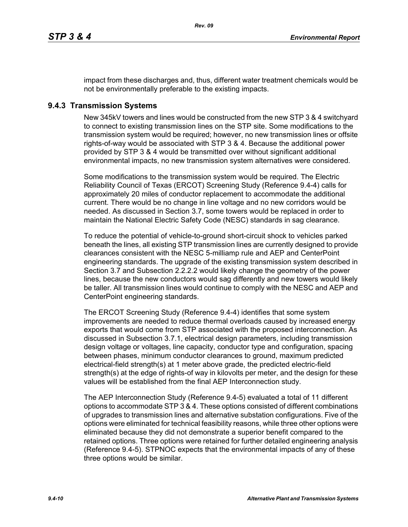impact from these discharges and, thus, different water treatment chemicals would be not be environmentally preferable to the existing impacts.

### **9.4.3 Transmission Systems**

New 345kV towers and lines would be constructed from the new STP 3 & 4 switchyard to connect to existing transmission lines on the STP site. Some modifications to the transmission system would be required; however, no new transmission lines or offsite rights-of-way would be associated with STP 3 & 4. Because the additional power provided by STP 3 & 4 would be transmitted over without significant additional environmental impacts, no new transmission system alternatives were considered.

Some modifications to the transmission system would be required. The Electric Reliability Council of Texas (ERCOT) Screening Study (Reference 9.4-4) calls for approximately 20 miles of conductor replacement to accommodate the additional current. There would be no change in line voltage and no new corridors would be needed. As discussed in Section 3.7, some towers would be replaced in order to maintain the National Electric Safety Code (NESC) standards in sag clearance.

To reduce the potential of vehicle-to-ground short-circuit shock to vehicles parked beneath the lines, all existing STP transmission lines are currently designed to provide clearances consistent with the NESC 5-milliamp rule and AEP and CenterPoint engineering standards. The upgrade of the existing transmission system described in Section 3.7 and Subsection 2.2.2.2 would likely change the geometry of the power lines, because the new conductors would sag differently and new towers would likely be taller. All transmission lines would continue to comply with the NESC and AEP and CenterPoint engineering standards.

The ERCOT Screening Study (Reference 9.4-4) identifies that some system improvements are needed to reduce thermal overloads caused by increased energy exports that would come from STP associated with the proposed interconnection. As discussed in Subsection 3.7.1, electrical design parameters, including transmission design voltage or voltages, line capacity, conductor type and configuration, spacing between phases, minimum conductor clearances to ground, maximum predicted electrical-field strength(s) at 1 meter above grade, the predicted electric-field strength(s) at the edge of rights-of way in kilovolts per meter, and the design for these values will be established from the final AEP Interconnection study.

The AEP Interconnection Study (Reference 9.4-5) evaluated a total of 11 different options to accommodate STP 3 & 4. These options consisted of different combinations of upgrades to transmission lines and alternative substation configurations. Five of the options were eliminated for technical feasibility reasons, while three other options were eliminated because they did not demonstrate a superior benefit compared to the retained options. Three options were retained for further detailed engineering analysis (Reference 9.4-5). STPNOC expects that the environmental impacts of any of these three options would be similar.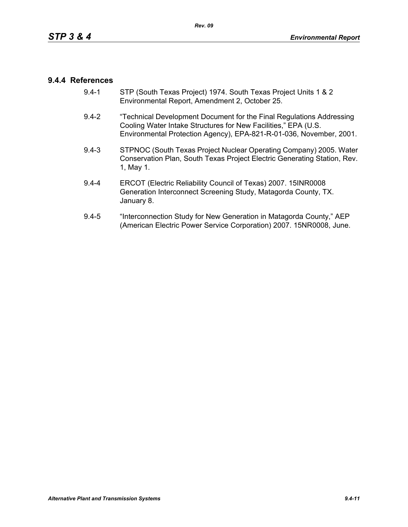## **9.4.4 References**

- 9.4-1 STP (South Texas Project) 1974. South Texas Project Units 1 & 2 Environmental Report, Amendment 2, October 25.
- 9.4-2 "Technical Development Document for the Final Regulations Addressing Cooling Water Intake Structures for New Facilities," EPA (U.S. Environmental Protection Agency), EPA-821-R-01-036, November, 2001.
- 9.4-3 STPNOC (South Texas Project Nuclear Operating Company) 2005. Water Conservation Plan, South Texas Project Electric Generating Station, Rev. 1, May 1.
- 9.4-4 ERCOT (Electric Reliability Council of Texas) 2007. 15INR0008 Generation Interconnect Screening Study, Matagorda County, TX. January 8.
- 9.4-5 "Interconnection Study for New Generation in Matagorda County," AEP (American Electric Power Service Corporation) 2007. 15NR0008, June.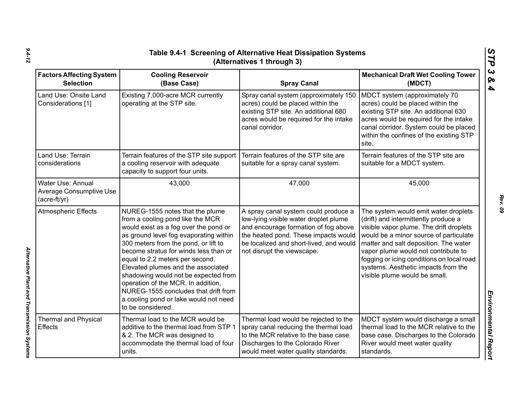| Table 9.4-1 Screening of Alternative Heat Dissipation Systems<br>(Alternatives 1 through 3) |                                                                                                                                                                                                                                                                                                                                                                                                                                                                                                      |                                                                                                                                                                                                                                        |                                                                                                                                                                                                                                                                                                                                                                        |  |
|---------------------------------------------------------------------------------------------|------------------------------------------------------------------------------------------------------------------------------------------------------------------------------------------------------------------------------------------------------------------------------------------------------------------------------------------------------------------------------------------------------------------------------------------------------------------------------------------------------|----------------------------------------------------------------------------------------------------------------------------------------------------------------------------------------------------------------------------------------|------------------------------------------------------------------------------------------------------------------------------------------------------------------------------------------------------------------------------------------------------------------------------------------------------------------------------------------------------------------------|--|
| <b>Factors Affecting System</b><br><b>Selection</b>                                         | <b>Cooling Reservoir</b><br>(Base Case)                                                                                                                                                                                                                                                                                                                                                                                                                                                              | <b>Spray Canal</b>                                                                                                                                                                                                                     | <b>Mechanical Draft Wet Cooling Tower</b><br>(MDCT)                                                                                                                                                                                                                                                                                                                    |  |
| Land Use: Onsite Land<br>Considerations [1]                                                 | Existing 7,000-acre MCR currently<br>operating at the STP site.                                                                                                                                                                                                                                                                                                                                                                                                                                      | Spray canal system (approximately 150<br>acres) could be placed within the<br>existing STP site. An additional 680<br>acres would be required for the intake<br>canal corridor.                                                        | MDCT system (approximately 70<br>acres) could be placed within the<br>existing STP site. An additional 630<br>acres would be required for the intake<br>canal corridor. System could be placed<br>within the confines of the existing STP<br>site.                                                                                                                     |  |
| Land Use: Terrain<br>considerations                                                         | Terrain features of the STP site support<br>a cooling reservoir with adequate<br>capacity to support four units.                                                                                                                                                                                                                                                                                                                                                                                     | Terrain features of the STP site are<br>suitable for a spray canal system.                                                                                                                                                             | Terrain features of the STP site are<br>suitable for a MDCT system.                                                                                                                                                                                                                                                                                                    |  |
| Water Use: Annual<br><b>Average Consumptive Use</b><br>$(acre-ft/yr)$                       | 43,000                                                                                                                                                                                                                                                                                                                                                                                                                                                                                               | 47,000                                                                                                                                                                                                                                 | 45,000                                                                                                                                                                                                                                                                                                                                                                 |  |
| <b>Atmospheric Effects</b>                                                                  | NUREG-1555 notes that the plume<br>from a cooling pond like the MCR<br>would exist as a fog over the pond or<br>as ground level fog evaporating within<br>300 meters from the pond, or lift to<br>become stratus for winds less than or<br>equal to 2.2 meters per second.<br>Elevated plumes and the associated<br>shadowing would not be expected from<br>operation of the MCR. In addition,<br>NUREG-1555 concludes that drift from<br>a cooling pond or lake would not need<br>to be considered. | A spray canal system could produce a<br>low-lying visible water droplet plume<br>and encourage formation of fog above<br>the heated pond. These impacts would<br>be localized and short-lived, and would<br>not disrupt the viewscape. | The system would emit water droplets<br>(drift) and intermittently produce a<br>visible vapor plume. The drift droplets<br>would be a minor source of particulate<br>matter and salt deposition. The water<br>vapor plume would not contribute to<br>fogging or icing conditions on local road<br>systems. Aesthetic impacts from the<br>visible plume would be small. |  |
| <b>Thermal and Physical</b><br><b>Effects</b>                                               | Thermal load to the MCR would be<br>additive to the thermal load from STP 1<br>& 2. The MCR was designed to<br>accommodate the thermal load of four<br>units.                                                                                                                                                                                                                                                                                                                                        | Thermal load would be rejected to the<br>spray canal reducing the thermal load<br>to the MCR relative to the base case.<br>Discharges to the Colorado River<br>would meet water quality standards.                                     | MDCT system would discharge a small<br>thermal load to the MCR relative to the<br>base case. Discharges to the Colorado<br>River would meet water quality<br>standards.                                                                                                                                                                                                |  |

*Alternative Plant and Transmission Systems* 

Alternative Plant and Transmission Systems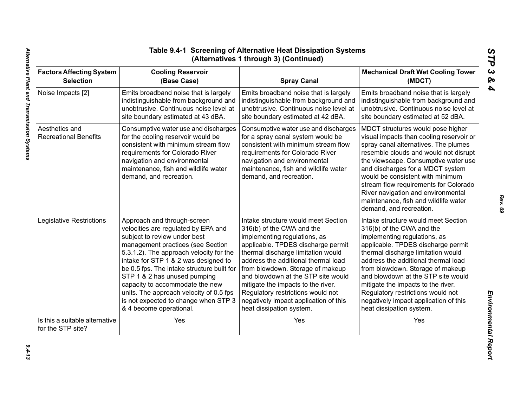| <b>Factors Affecting System</b>                     | <b>Cooling Reservoir</b>                                                                                                                                                                                                                                | <b>Spray Canal</b>                                                                                                                                                                                                                                     | <b>Mechanical Draft Wet Cooling Tower</b>                                                                                                                                                                                                                                                                                                                                                                                        |
|-----------------------------------------------------|---------------------------------------------------------------------------------------------------------------------------------------------------------------------------------------------------------------------------------------------------------|--------------------------------------------------------------------------------------------------------------------------------------------------------------------------------------------------------------------------------------------------------|----------------------------------------------------------------------------------------------------------------------------------------------------------------------------------------------------------------------------------------------------------------------------------------------------------------------------------------------------------------------------------------------------------------------------------|
| <b>Selection</b>                                    | (Base Case)                                                                                                                                                                                                                                             |                                                                                                                                                                                                                                                        | (MDCT)                                                                                                                                                                                                                                                                                                                                                                                                                           |
| Noise Impacts [2]                                   | Emits broadband noise that is largely                                                                                                                                                                                                                   | Emits broadband noise that is largely                                                                                                                                                                                                                  | Emits broadband noise that is largely                                                                                                                                                                                                                                                                                                                                                                                            |
|                                                     | indistinguishable from background and                                                                                                                                                                                                                   | indistinguishable from background and                                                                                                                                                                                                                  | indistinguishable from background and                                                                                                                                                                                                                                                                                                                                                                                            |
|                                                     | unobtrusive. Continuous noise level at                                                                                                                                                                                                                  | unobtrusive. Continuous noise level at                                                                                                                                                                                                                 | unobtrusive. Continuous noise level at                                                                                                                                                                                                                                                                                                                                                                                           |
|                                                     | site boundary estimated at 43 dBA.                                                                                                                                                                                                                      | site boundary estimated at 42 dBA.                                                                                                                                                                                                                     | site boundary estimated at 52 dBA.                                                                                                                                                                                                                                                                                                                                                                                               |
| Aesthetics and<br><b>Recreational Benefits</b>      | Consumptive water use and discharges<br>for the cooling reservoir would be<br>consistent with minimum stream flow<br>requirements for Colorado River<br>navigation and environmental<br>maintenance, fish and wildlife water<br>demand, and recreation. | Consumptive water use and discharges<br>for a spray canal system would be<br>consistent with minimum stream flow<br>requirements for Colorado River<br>navigation and environmental<br>maintenance, fish and wildlife water<br>demand, and recreation. | MDCT structures would pose higher<br>visual impacts than cooling reservoir or<br>spray canal alternatives. The plumes<br>resemble clouds and would not disrupt<br>the viewscape. Consumptive water use<br>and discharges for a MDCT system<br>would be consistent with minimum<br>stream flow requirements for Colorado<br>River navigation and environmental<br>maintenance, fish and wildlife water<br>demand, and recreation. |
| Legislative Restrictions                            | Approach and through-screen                                                                                                                                                                                                                             | Intake structure would meet Section                                                                                                                                                                                                                    | Intake structure would meet Section                                                                                                                                                                                                                                                                                                                                                                                              |
|                                                     | velocities are regulated by EPA and                                                                                                                                                                                                                     | 316(b) of the CWA and the                                                                                                                                                                                                                              | 316(b) of the CWA and the                                                                                                                                                                                                                                                                                                                                                                                                        |
|                                                     | subject to review under best                                                                                                                                                                                                                            | implementing regulations, as                                                                                                                                                                                                                           | implementing regulations, as                                                                                                                                                                                                                                                                                                                                                                                                     |
|                                                     | management practices (see Section                                                                                                                                                                                                                       | applicable. TPDES discharge permit                                                                                                                                                                                                                     | applicable. TPDES discharge permit                                                                                                                                                                                                                                                                                                                                                                                               |
|                                                     | 5.3.1.2). The approach velocity for the                                                                                                                                                                                                                 | thermal discharge limitation would                                                                                                                                                                                                                     | thermal discharge limitation would                                                                                                                                                                                                                                                                                                                                                                                               |
|                                                     | intake for STP 1 & 2 was designed to                                                                                                                                                                                                                    | address the additional thermal load                                                                                                                                                                                                                    | address the additional thermal load                                                                                                                                                                                                                                                                                                                                                                                              |
|                                                     | be 0.5 fps. The intake structure built for                                                                                                                                                                                                              | from blowdown. Storage of makeup                                                                                                                                                                                                                       | from blowdown. Storage of makeup                                                                                                                                                                                                                                                                                                                                                                                                 |
|                                                     | STP 1 & 2 has unused pumping                                                                                                                                                                                                                            | and blowdown at the STP site would                                                                                                                                                                                                                     | and blowdown at the STP site would                                                                                                                                                                                                                                                                                                                                                                                               |
|                                                     | capacity to accommodate the new                                                                                                                                                                                                                         | mitigate the impacts to the river.                                                                                                                                                                                                                     | mitigate the impacts to the river.                                                                                                                                                                                                                                                                                                                                                                                               |
|                                                     | units. The approach velocity of 0.5 fps                                                                                                                                                                                                                 | Regulatory restrictions would not                                                                                                                                                                                                                      | Regulatory restrictions would not                                                                                                                                                                                                                                                                                                                                                                                                |
|                                                     | is not expected to change when STP 3                                                                                                                                                                                                                    | negatively impact application of this                                                                                                                                                                                                                  | negatively impact application of this                                                                                                                                                                                                                                                                                                                                                                                            |
|                                                     | & 4 become operational.                                                                                                                                                                                                                                 | heat dissipation system.                                                                                                                                                                                                                               | heat dissipation system.                                                                                                                                                                                                                                                                                                                                                                                                         |
| Is this a suitable alternative<br>for the STP site? | Yes                                                                                                                                                                                                                                                     | Yes                                                                                                                                                                                                                                                    | Yes                                                                                                                                                                                                                                                                                                                                                                                                                              |

*Rev. 09*

*STP 3 & 4*

 $9.4 - 13$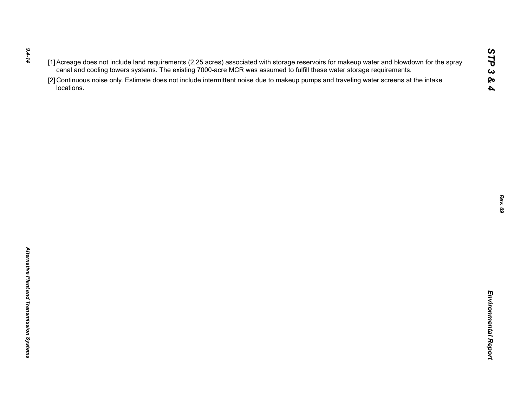- *9.4-14*
- 
- $(1)$  Accessors of the rich requirements (2.25 are once to the was assumed to furth these water storage requirements.<br>
Caroline of the control of the state of the state of the state of the state of the state of the state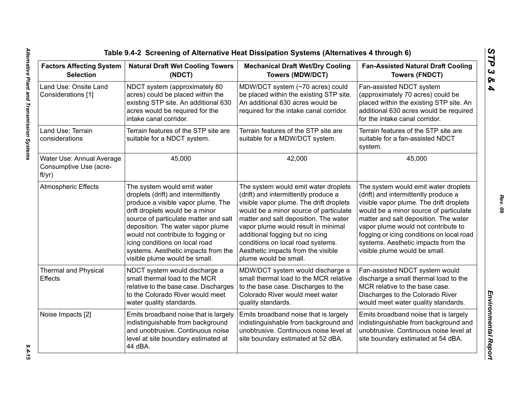| <b>Factors Affecting System</b><br><b>Selection</b>                                                                                                                                                                                                                                                                                                                                             | <b>Natural Draft Wet Cooling Towers</b><br>(NDCT)                                                                                                                                                                                                                                                                                                                         | <b>Mechanical Draft Wet/Dry Cooling</b><br><b>Towers (MDW/DCT)</b>                                                                                                                                                                                                                                                                                                                       | <b>Fan-Assisted Natural Draft Cooling</b><br><b>Towers (FNDCT)</b>                                                                                                                                                                                                                                                                                                     |
|-------------------------------------------------------------------------------------------------------------------------------------------------------------------------------------------------------------------------------------------------------------------------------------------------------------------------------------------------------------------------------------------------|---------------------------------------------------------------------------------------------------------------------------------------------------------------------------------------------------------------------------------------------------------------------------------------------------------------------------------------------------------------------------|------------------------------------------------------------------------------------------------------------------------------------------------------------------------------------------------------------------------------------------------------------------------------------------------------------------------------------------------------------------------------------------|------------------------------------------------------------------------------------------------------------------------------------------------------------------------------------------------------------------------------------------------------------------------------------------------------------------------------------------------------------------------|
| Land Use: Onsite Land<br>Considerations [1]                                                                                                                                                                                                                                                                                                                                                     | NDCT system (approximately 80<br>acres) could be placed within the<br>existing STP site. An additional 630<br>acres would be required for the<br>intake canal corridor.                                                                                                                                                                                                   | MDW/DCT system (~70 acres) could<br>be placed within the existing STP site.<br>An additional 630 acres would be<br>required for the intake canal corridor.                                                                                                                                                                                                                               | Fan-assisted NDCT system<br>(approximately 70 acres) could be<br>placed within the existing STP site. An<br>additional 630 acres would be required<br>for the intake canal corridor.                                                                                                                                                                                   |
| Land Use: Terrain<br>considerations                                                                                                                                                                                                                                                                                                                                                             | Terrain features of the STP site are<br>suitable for a NDCT system.                                                                                                                                                                                                                                                                                                       | Terrain features of the STP site are<br>suitable for a MDW/DCT system.                                                                                                                                                                                                                                                                                                                   | Terrain features of the STP site are<br>suitable for a fan-assisted NDCT<br>system.                                                                                                                                                                                                                                                                                    |
| Water Use: Annual Average<br>Consumptive Use (acre-<br>ft/yr)                                                                                                                                                                                                                                                                                                                                   | 45,000                                                                                                                                                                                                                                                                                                                                                                    | 42,000                                                                                                                                                                                                                                                                                                                                                                                   | 45,000                                                                                                                                                                                                                                                                                                                                                                 |
| <b>Atmospheric Effects</b>                                                                                                                                                                                                                                                                                                                                                                      | The system would emit water<br>droplets (drift) and intermittently<br>produce a visible vapor plume. The<br>drift droplets would be a minor<br>source of particulate matter and salt<br>deposition. The water vapor plume<br>would not contribute to fogging or<br>icing conditions on local road<br>systems. Aesthetic impacts from the<br>visible plume would be small. | The system would emit water droplets<br>(drift) and intermittently produce a<br>visible vapor plume. The drift droplets<br>would be a minor source of particulate<br>matter and salt deposition. The water<br>vapor plume would result in minimal<br>additional fogging but no icing<br>conditions on local road systems.<br>Aesthetic impacts from the visible<br>plume would be small. | The system would emit water droplets<br>(drift) and intermittently produce a<br>visible vapor plume. The drift droplets<br>would be a minor source of particulate<br>matter and salt deposition. The water<br>vapor plume would not contribute to<br>fogging or icing conditions on local road<br>systems. Aesthetic impacts from the<br>visible plume would be small. |
| <b>Thermal and Physical</b><br>MDW/DCT system would discharge a<br>NDCT system would discharge a<br>small thermal load to the MCR<br>small thermal load to the MCR relative<br>Effects<br>relative to the base case. Discharges<br>to the base case. Discharges to the<br>to the Colorado River would meet<br>Colorado River would meet water<br>water quality standards.<br>quality standards. |                                                                                                                                                                                                                                                                                                                                                                           | Fan-assisted NDCT system would<br>discharge a small thermal load to the<br>MCR relative to the base case.<br>Discharges to the Colorado River<br>would meet water quality standards.                                                                                                                                                                                                     |                                                                                                                                                                                                                                                                                                                                                                        |
| Noise Impacts [2]                                                                                                                                                                                                                                                                                                                                                                               | Emits broadband noise that is largely<br>indistinguishable from background<br>and unobtrusive. Continuous noise<br>level at site boundary estimated at<br>44 dBA.                                                                                                                                                                                                         | Emits broadband noise that is largely<br>indistinguishable from background and<br>unobtrusive. Continuous noise level at<br>site boundary estimated at 52 dBA.                                                                                                                                                                                                                           | Emits broadband noise that is largely<br>indistinguishable from background and<br>unobtrusive. Continuous noise level at<br>site boundary estimated at 54 dBA.                                                                                                                                                                                                         |

*STP 3 & 4*

 $9.4 - 15$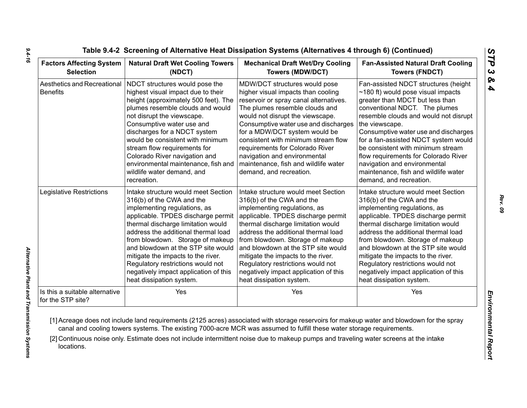| <b>Factors Affecting System</b>                     | <b>Natural Draft Wet Cooling Towers</b>                                                                                                                                                                                                                                                                                                                                                                                              | <b>Mechanical Draft Wet/Dry Cooling</b>                                                                                                                                                                                                                                                                                                                                                                                                   | <b>Fan-Assisted Natural Draft Cooling</b>                                                                                                                                                                                                                                                                                                                                                                                                                                       |  |
|-----------------------------------------------------|--------------------------------------------------------------------------------------------------------------------------------------------------------------------------------------------------------------------------------------------------------------------------------------------------------------------------------------------------------------------------------------------------------------------------------------|-------------------------------------------------------------------------------------------------------------------------------------------------------------------------------------------------------------------------------------------------------------------------------------------------------------------------------------------------------------------------------------------------------------------------------------------|---------------------------------------------------------------------------------------------------------------------------------------------------------------------------------------------------------------------------------------------------------------------------------------------------------------------------------------------------------------------------------------------------------------------------------------------------------------------------------|--|
| <b>Selection</b>                                    | (NDCT)                                                                                                                                                                                                                                                                                                                                                                                                                               | <b>Towers (MDW/DCT)</b>                                                                                                                                                                                                                                                                                                                                                                                                                   | <b>Towers (FNDCT)</b>                                                                                                                                                                                                                                                                                                                                                                                                                                                           |  |
| Aesthetics and Recreational<br><b>Benefits</b>      | NDCT structures would pose the<br>highest visual impact due to their<br>height (approximately 500 feet). The<br>plumes resemble clouds and would<br>not disrupt the viewscape.<br>Consumptive water use and<br>discharges for a NDCT system<br>would be consistent with minimum<br>stream flow requirements for<br>Colorado River navigation and<br>environmental maintenance, fish and<br>wildlife water demand, and<br>recreation. | MDW/DCT structures would pose<br>higher visual impacts than cooling<br>reservoir or spray canal alternatives.<br>The plumes resemble clouds and<br>would not disrupt the viewscape.<br>Consumptive water use and discharges<br>for a MDW/DCT system would be<br>consistent with minimum stream flow<br>requirements for Colorado River<br>navigation and environmental<br>maintenance, fish and wildlife water<br>demand, and recreation. | Fan-assisted NDCT structures (height<br>$\sim$ 180 ft) would pose visual impacts<br>greater than MDCT but less than<br>conventional NDCT. The plumes<br>resemble clouds and would not disrupt<br>the viewscape.<br>Consumptive water use and discharges<br>for a fan-assisted NDCT system would<br>be consistent with minimum stream<br>flow requirements for Colorado River<br>navigation and environmental<br>maintenance, fish and wildlife water<br>demand, and recreation. |  |
| Legislative Restrictions                            | Intake structure would meet Section                                                                                                                                                                                                                                                                                                                                                                                                  | Intake structure would meet Section                                                                                                                                                                                                                                                                                                                                                                                                       | Intake structure would meet Section                                                                                                                                                                                                                                                                                                                                                                                                                                             |  |
|                                                     | 316(b) of the CWA and the                                                                                                                                                                                                                                                                                                                                                                                                            | 316(b) of the CWA and the                                                                                                                                                                                                                                                                                                                                                                                                                 | 316(b) of the CWA and the                                                                                                                                                                                                                                                                                                                                                                                                                                                       |  |
|                                                     | implementing regulations, as                                                                                                                                                                                                                                                                                                                                                                                                         | implementing regulations, as                                                                                                                                                                                                                                                                                                                                                                                                              | implementing regulations, as                                                                                                                                                                                                                                                                                                                                                                                                                                                    |  |
|                                                     | applicable. TPDES discharge permit                                                                                                                                                                                                                                                                                                                                                                                                   | applicable. TPDES discharge permit                                                                                                                                                                                                                                                                                                                                                                                                        | applicable. TPDES discharge permit                                                                                                                                                                                                                                                                                                                                                                                                                                              |  |
|                                                     | thermal discharge limitation would                                                                                                                                                                                                                                                                                                                                                                                                   | thermal discharge limitation would                                                                                                                                                                                                                                                                                                                                                                                                        | thermal discharge limitation would                                                                                                                                                                                                                                                                                                                                                                                                                                              |  |
|                                                     | address the additional thermal load                                                                                                                                                                                                                                                                                                                                                                                                  | address the additional thermal load                                                                                                                                                                                                                                                                                                                                                                                                       | address the additional thermal load                                                                                                                                                                                                                                                                                                                                                                                                                                             |  |
|                                                     | from blowdown. Storage of makeup                                                                                                                                                                                                                                                                                                                                                                                                     | from blowdown. Storage of makeup                                                                                                                                                                                                                                                                                                                                                                                                          | from blowdown. Storage of makeup                                                                                                                                                                                                                                                                                                                                                                                                                                                |  |
|                                                     | and blowdown at the STP site would                                                                                                                                                                                                                                                                                                                                                                                                   | and blowdown at the STP site would                                                                                                                                                                                                                                                                                                                                                                                                        | and blowdown at the STP site would                                                                                                                                                                                                                                                                                                                                                                                                                                              |  |
|                                                     | mitigate the impacts to the river.                                                                                                                                                                                                                                                                                                                                                                                                   | mitigate the impacts to the river.                                                                                                                                                                                                                                                                                                                                                                                                        | mitigate the impacts to the river.                                                                                                                                                                                                                                                                                                                                                                                                                                              |  |
|                                                     | Regulatory restrictions would not                                                                                                                                                                                                                                                                                                                                                                                                    | Regulatory restrictions would not                                                                                                                                                                                                                                                                                                                                                                                                         | Regulatory restrictions would not                                                                                                                                                                                                                                                                                                                                                                                                                                               |  |
|                                                     | negatively impact application of this                                                                                                                                                                                                                                                                                                                                                                                                | negatively impact application of this                                                                                                                                                                                                                                                                                                                                                                                                     | negatively impact application of this                                                                                                                                                                                                                                                                                                                                                                                                                                           |  |
|                                                     | heat dissipation system.                                                                                                                                                                                                                                                                                                                                                                                                             | heat dissipation system.                                                                                                                                                                                                                                                                                                                                                                                                                  | heat dissipation system.                                                                                                                                                                                                                                                                                                                                                                                                                                                        |  |
| Is this a suitable alternative<br>for the STP site? | Yes                                                                                                                                                                                                                                                                                                                                                                                                                                  | Yes                                                                                                                                                                                                                                                                                                                                                                                                                                       | Yes                                                                                                                                                                                                                                                                                                                                                                                                                                                                             |  |

*9.4-16*

*Rev. 09*

*STP 3 & 4*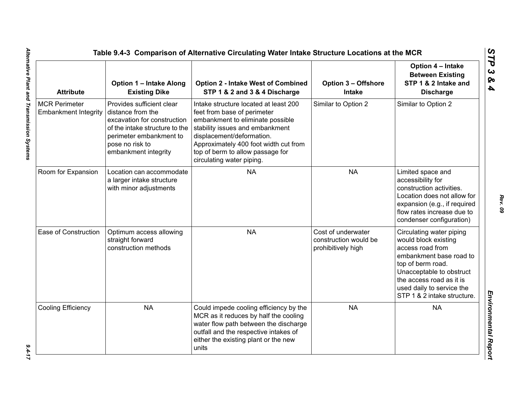| <b>Attribute</b>                                    | <b>Option 1 - Intake Along</b><br><b>Existing Dike</b>                                                                                                                                | <b>Option 2 - Intake West of Combined</b><br>STP 1 & 2 and 3 & 4 Discharge                                                                                                                                                                                                         | <b>Option 3 - Offshore</b><br><b>Intake</b>                       | Option 4 - Intake<br><b>Between Existing</b><br>STP 1 & 2 Intake and<br><b>Discharge</b>                                                                                                                                                 |
|-----------------------------------------------------|---------------------------------------------------------------------------------------------------------------------------------------------------------------------------------------|------------------------------------------------------------------------------------------------------------------------------------------------------------------------------------------------------------------------------------------------------------------------------------|-------------------------------------------------------------------|------------------------------------------------------------------------------------------------------------------------------------------------------------------------------------------------------------------------------------------|
| <b>MCR Perimeter</b><br><b>Embankment Integrity</b> | Provides sufficient clear<br>distance from the<br>excavation for construction<br>of the intake structure to the<br>perimeter embankment to<br>pose no risk to<br>embankment integrity | Intake structure located at least 200<br>feet from base of perimeter<br>embankment to eliminate possible<br>stability issues and embankment<br>displacement/deformation.<br>Approximately 400 foot width cut from<br>top of berm to allow passage for<br>circulating water piping. | Similar to Option 2                                               | Similar to Option 2                                                                                                                                                                                                                      |
| Room for Expansion                                  | Location can accommodate<br>a larger intake structure<br>with minor adjustments                                                                                                       | <b>NA</b>                                                                                                                                                                                                                                                                          | <b>NA</b>                                                         | Limited space and<br>accessibility for<br>construction activities.<br>Location does not allow for<br>expansion (e.g., if required<br>flow rates increase due to<br>condenser configuration)                                              |
| Ease of Construction                                | Optimum access allowing<br>straight forward<br>construction methods                                                                                                                   | <b>NA</b>                                                                                                                                                                                                                                                                          | Cost of underwater<br>construction would be<br>prohibitively high | Circulating water piping<br>would block existing<br>access road from<br>embankment base road to<br>top of berm road.<br>Unacceptable to obstruct<br>the access road as it is<br>used daily to service the<br>STP 1 & 2 intake structure. |
| Cooling Efficiency                                  | <b>NA</b>                                                                                                                                                                             | Could impede cooling efficiency by the<br>MCR as it reduces by half the cooling<br>water flow path between the discharge<br>outfall and the respective intakes of<br>either the existing plant or the new<br>units                                                                 | <b>NA</b>                                                         | <b>NA</b>                                                                                                                                                                                                                                |

 $9.4 - 17$